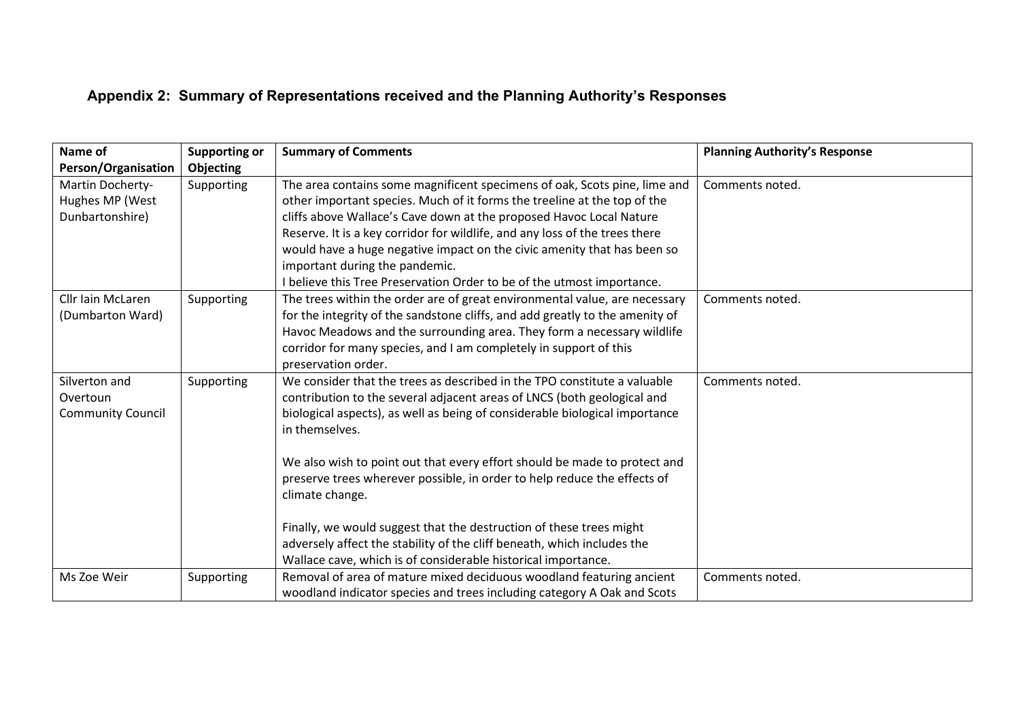## **Appendix 2: Summary of Representations received and the Planning Authority's Responses**

| Name of                  | <b>Supporting or</b> | <b>Summary of Comments</b>                                                   | <b>Planning Authority's Response</b> |
|--------------------------|----------------------|------------------------------------------------------------------------------|--------------------------------------|
| Person/Organisation      | Objecting            |                                                                              |                                      |
| Martin Docherty-         | Supporting           | The area contains some magnificent specimens of oak, Scots pine, lime and    | Comments noted.                      |
| Hughes MP (West          |                      | other important species. Much of it forms the treeline at the top of the     |                                      |
| Dunbartonshire)          |                      | cliffs above Wallace's Cave down at the proposed Havoc Local Nature          |                                      |
|                          |                      | Reserve. It is a key corridor for wildlife, and any loss of the trees there  |                                      |
|                          |                      | would have a huge negative impact on the civic amenity that has been so      |                                      |
|                          |                      | important during the pandemic.                                               |                                      |
|                          |                      | I believe this Tree Preservation Order to be of the utmost importance.       |                                      |
| Cllr Iain McLaren        | Supporting           | The trees within the order are of great environmental value, are necessary   | Comments noted.                      |
| (Dumbarton Ward)         |                      | for the integrity of the sandstone cliffs, and add greatly to the amenity of |                                      |
|                          |                      | Havoc Meadows and the surrounding area. They form a necessary wildlife       |                                      |
|                          |                      | corridor for many species, and I am completely in support of this            |                                      |
|                          |                      | preservation order.                                                          |                                      |
| Silverton and            | Supporting           | We consider that the trees as described in the TPO constitute a valuable     | Comments noted.                      |
| Overtoun                 |                      | contribution to the several adjacent areas of LNCS (both geological and      |                                      |
| <b>Community Council</b> |                      | biological aspects), as well as being of considerable biological importance  |                                      |
|                          |                      | in themselves.                                                               |                                      |
|                          |                      |                                                                              |                                      |
|                          |                      | We also wish to point out that every effort should be made to protect and    |                                      |
|                          |                      | preserve trees wherever possible, in order to help reduce the effects of     |                                      |
|                          |                      | climate change.                                                              |                                      |
|                          |                      | Finally, we would suggest that the destruction of these trees might          |                                      |
|                          |                      | adversely affect the stability of the cliff beneath, which includes the      |                                      |
|                          |                      | Wallace cave, which is of considerable historical importance.                |                                      |
| Ms Zoe Weir              | Supporting           | Removal of area of mature mixed deciduous woodland featuring ancient         | Comments noted.                      |
|                          |                      | woodland indicator species and trees including category A Oak and Scots      |                                      |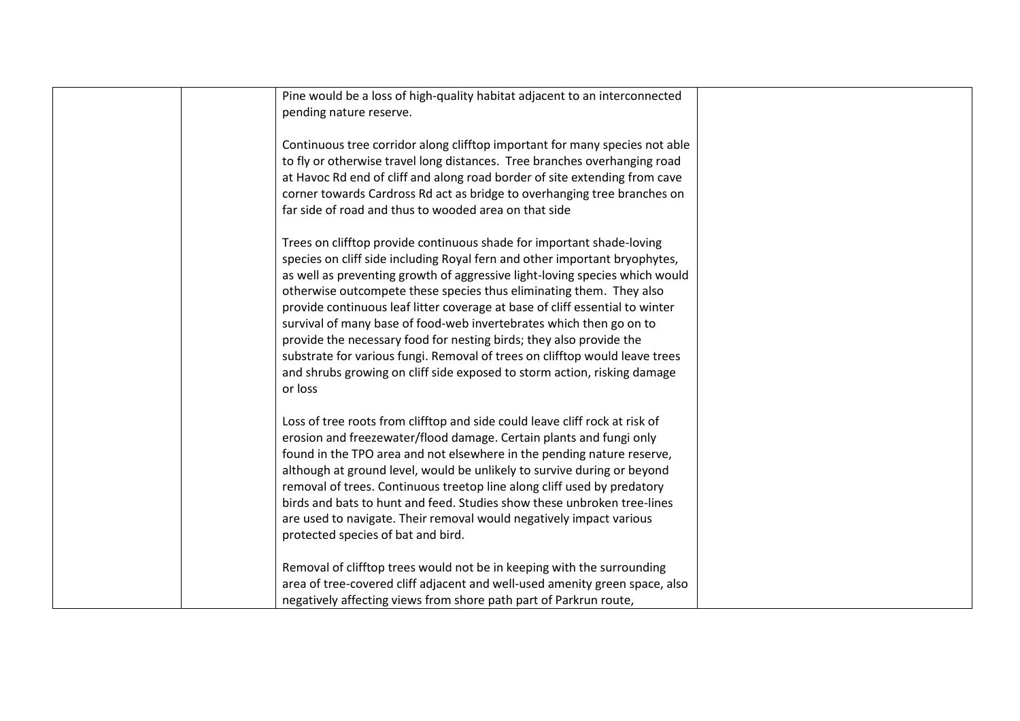| Pine would be a loss of high-quality habitat adjacent to an interconnected<br>pending nature reserve.                                                                                                                                                                                                                                                                                                                                                                                                                                                                                                                                                                                                         |  |
|---------------------------------------------------------------------------------------------------------------------------------------------------------------------------------------------------------------------------------------------------------------------------------------------------------------------------------------------------------------------------------------------------------------------------------------------------------------------------------------------------------------------------------------------------------------------------------------------------------------------------------------------------------------------------------------------------------------|--|
| Continuous tree corridor along clifftop important for many species not able<br>to fly or otherwise travel long distances. Tree branches overhanging road<br>at Havoc Rd end of cliff and along road border of site extending from cave<br>corner towards Cardross Rd act as bridge to overhanging tree branches on<br>far side of road and thus to wooded area on that side                                                                                                                                                                                                                                                                                                                                   |  |
| Trees on clifftop provide continuous shade for important shade-loving<br>species on cliff side including Royal fern and other important bryophytes,<br>as well as preventing growth of aggressive light-loving species which would<br>otherwise outcompete these species thus eliminating them. They also<br>provide continuous leaf litter coverage at base of cliff essential to winter<br>survival of many base of food-web invertebrates which then go on to<br>provide the necessary food for nesting birds; they also provide the<br>substrate for various fungi. Removal of trees on clifftop would leave trees<br>and shrubs growing on cliff side exposed to storm action, risking damage<br>or loss |  |
| Loss of tree roots from clifftop and side could leave cliff rock at risk of<br>erosion and freezewater/flood damage. Certain plants and fungi only<br>found in the TPO area and not elsewhere in the pending nature reserve,<br>although at ground level, would be unlikely to survive during or beyond<br>removal of trees. Continuous treetop line along cliff used by predatory<br>birds and bats to hunt and feed. Studies show these unbroken tree-lines<br>are used to navigate. Their removal would negatively impact various<br>protected species of bat and bird.                                                                                                                                    |  |
| Removal of clifftop trees would not be in keeping with the surrounding<br>area of tree-covered cliff adjacent and well-used amenity green space, also<br>negatively affecting views from shore path part of Parkrun route,                                                                                                                                                                                                                                                                                                                                                                                                                                                                                    |  |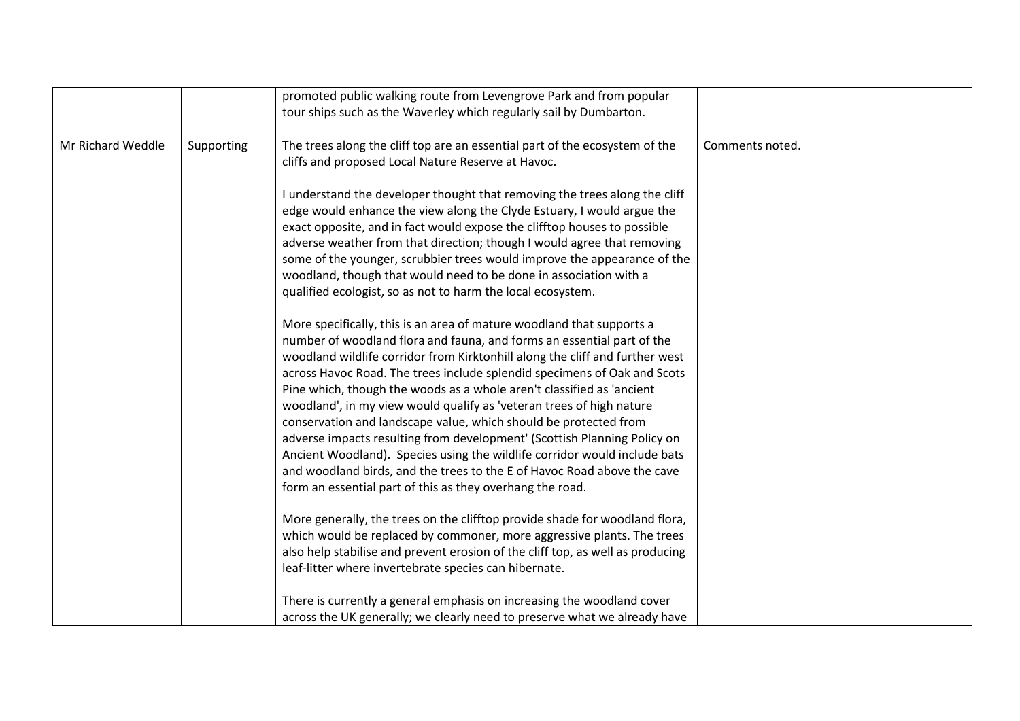|                   |            | promoted public walking route from Levengrove Park and from popular<br>tour ships such as the Waverley which regularly sail by Dumbarton.                                                                                                                                                                                                                                                                                                                                                                                                                                                                                                                                                                                                                                                                                                                                                                                                                                                                                                                |                 |
|-------------------|------------|----------------------------------------------------------------------------------------------------------------------------------------------------------------------------------------------------------------------------------------------------------------------------------------------------------------------------------------------------------------------------------------------------------------------------------------------------------------------------------------------------------------------------------------------------------------------------------------------------------------------------------------------------------------------------------------------------------------------------------------------------------------------------------------------------------------------------------------------------------------------------------------------------------------------------------------------------------------------------------------------------------------------------------------------------------|-----------------|
| Mr Richard Weddle | Supporting | The trees along the cliff top are an essential part of the ecosystem of the<br>cliffs and proposed Local Nature Reserve at Havoc.<br>I understand the developer thought that removing the trees along the cliff<br>edge would enhance the view along the Clyde Estuary, I would argue the<br>exact opposite, and in fact would expose the clifftop houses to possible<br>adverse weather from that direction; though I would agree that removing<br>some of the younger, scrubbier trees would improve the appearance of the<br>woodland, though that would need to be done in association with a<br>qualified ecologist, so as not to harm the local ecosystem.<br>More specifically, this is an area of mature woodland that supports a<br>number of woodland flora and fauna, and forms an essential part of the<br>woodland wildlife corridor from Kirktonhill along the cliff and further west<br>across Havoc Road. The trees include splendid specimens of Oak and Scots<br>Pine which, though the woods as a whole aren't classified as 'ancient | Comments noted. |
|                   |            | woodland', in my view would qualify as 'veteran trees of high nature<br>conservation and landscape value, which should be protected from<br>adverse impacts resulting from development' (Scottish Planning Policy on<br>Ancient Woodland). Species using the wildlife corridor would include bats<br>and woodland birds, and the trees to the E of Havoc Road above the cave<br>form an essential part of this as they overhang the road.<br>More generally, the trees on the clifftop provide shade for woodland flora,<br>which would be replaced by commoner, more aggressive plants. The trees<br>also help stabilise and prevent erosion of the cliff top, as well as producing<br>leaf-litter where invertebrate species can hibernate.<br>There is currently a general emphasis on increasing the woodland cover<br>across the UK generally; we clearly need to preserve what we already have                                                                                                                                                     |                 |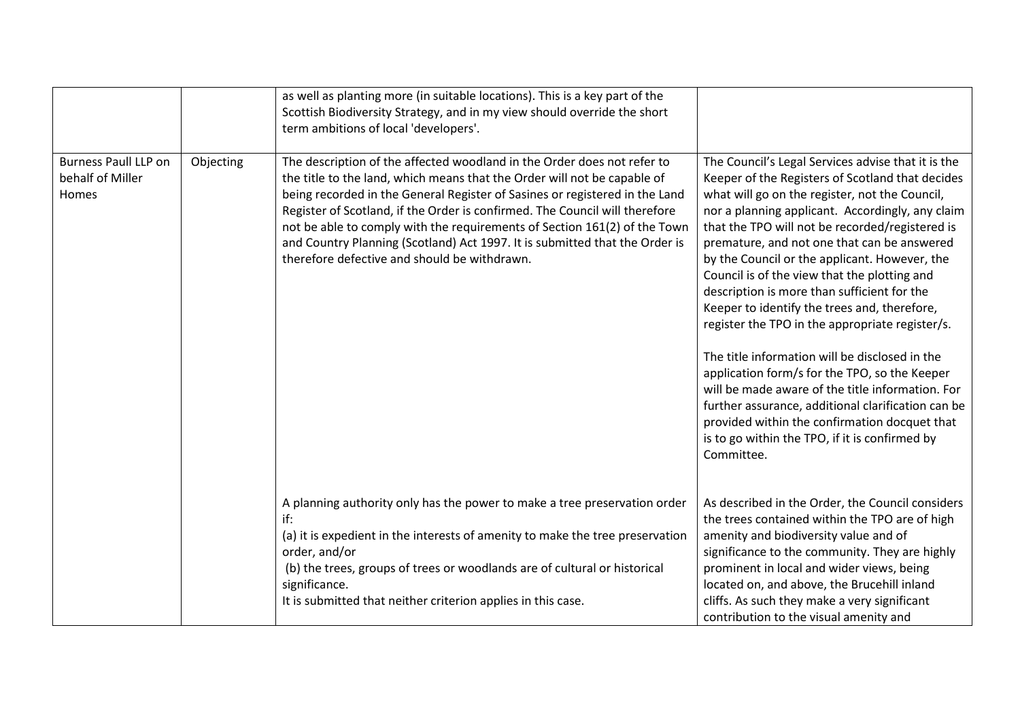|                                                          |           | as well as planting more (in suitable locations). This is a key part of the<br>Scottish Biodiversity Strategy, and in my view should override the short<br>term ambitions of local 'developers'.                                                                                                                                                                                                                                                                                                                              |                                                                                                                                                                                                                                                                                                                                                                                                                                                                                                                                                                                                                                                                                                                                                                                                                                                                                                 |
|----------------------------------------------------------|-----------|-------------------------------------------------------------------------------------------------------------------------------------------------------------------------------------------------------------------------------------------------------------------------------------------------------------------------------------------------------------------------------------------------------------------------------------------------------------------------------------------------------------------------------|-------------------------------------------------------------------------------------------------------------------------------------------------------------------------------------------------------------------------------------------------------------------------------------------------------------------------------------------------------------------------------------------------------------------------------------------------------------------------------------------------------------------------------------------------------------------------------------------------------------------------------------------------------------------------------------------------------------------------------------------------------------------------------------------------------------------------------------------------------------------------------------------------|
| <b>Burness Paull LLP on</b><br>behalf of Miller<br>Homes | Objecting | The description of the affected woodland in the Order does not refer to<br>the title to the land, which means that the Order will not be capable of<br>being recorded in the General Register of Sasines or registered in the Land<br>Register of Scotland, if the Order is confirmed. The Council will therefore<br>not be able to comply with the requirements of Section 161(2) of the Town<br>and Country Planning (Scotland) Act 1997. It is submitted that the Order is<br>therefore defective and should be withdrawn. | The Council's Legal Services advise that it is the<br>Keeper of the Registers of Scotland that decides<br>what will go on the register, not the Council,<br>nor a planning applicant. Accordingly, any claim<br>that the TPO will not be recorded/registered is<br>premature, and not one that can be answered<br>by the Council or the applicant. However, the<br>Council is of the view that the plotting and<br>description is more than sufficient for the<br>Keeper to identify the trees and, therefore,<br>register the TPO in the appropriate register/s.<br>The title information will be disclosed in the<br>application form/s for the TPO, so the Keeper<br>will be made aware of the title information. For<br>further assurance, additional clarification can be<br>provided within the confirmation docquet that<br>is to go within the TPO, if it is confirmed by<br>Committee. |
|                                                          |           | A planning authority only has the power to make a tree preservation order<br>if:<br>(a) it is expedient in the interests of amenity to make the tree preservation<br>order, and/or<br>(b) the trees, groups of trees or woodlands are of cultural or historical<br>significance.<br>It is submitted that neither criterion applies in this case.                                                                                                                                                                              | As described in the Order, the Council considers<br>the trees contained within the TPO are of high<br>amenity and biodiversity value and of<br>significance to the community. They are highly<br>prominent in local and wider views, being<br>located on, and above, the Brucehill inland<br>cliffs. As such they make a very significant<br>contribution to the visual amenity and                                                                                                                                                                                                                                                                                                                                                                                                                                                                                                             |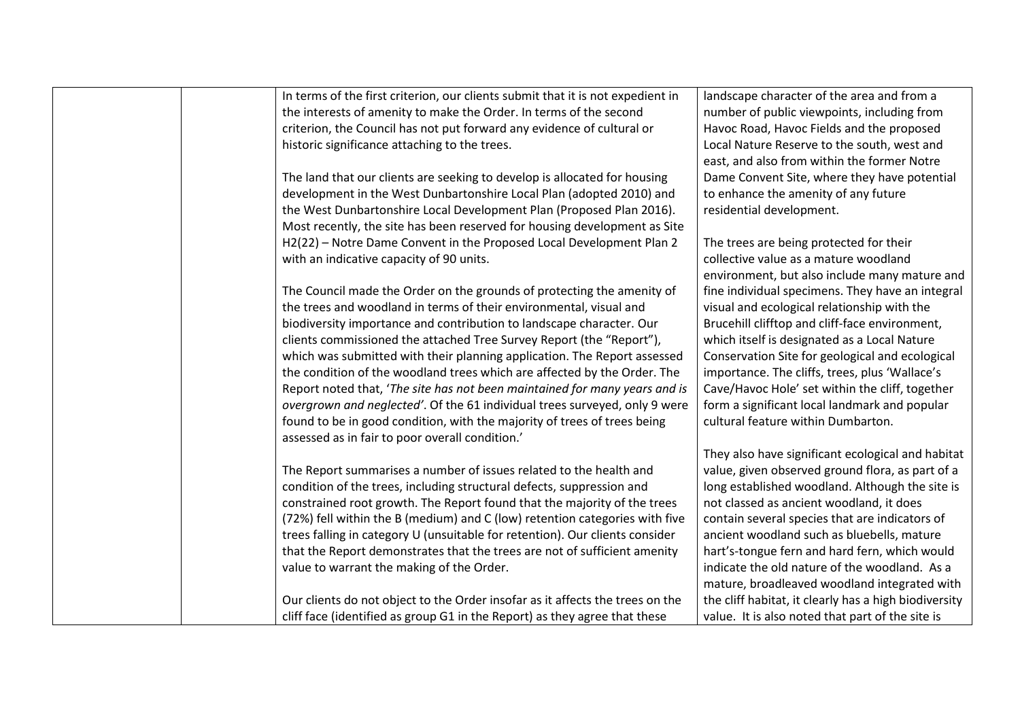| In terms of the first criterion, our clients submit that it is not expedient in | landscape character of the area and from a            |
|---------------------------------------------------------------------------------|-------------------------------------------------------|
| the interests of amenity to make the Order. In terms of the second              | number of public viewpoints, including from           |
| criterion, the Council has not put forward any evidence of cultural or          | Havoc Road, Havoc Fields and the proposed             |
| historic significance attaching to the trees.                                   | Local Nature Reserve to the south, west and           |
|                                                                                 | east, and also from within the former Notre           |
| The land that our clients are seeking to develop is allocated for housing       | Dame Convent Site, where they have potential          |
| development in the West Dunbartonshire Local Plan (adopted 2010) and            | to enhance the amenity of any future                  |
| the West Dunbartonshire Local Development Plan (Proposed Plan 2016).            | residential development.                              |
| Most recently, the site has been reserved for housing development as Site       |                                                       |
| H2(22) - Notre Dame Convent in the Proposed Local Development Plan 2            | The trees are being protected for their               |
| with an indicative capacity of 90 units.                                        | collective value as a mature woodland                 |
|                                                                                 | environment, but also include many mature and         |
| The Council made the Order on the grounds of protecting the amenity of          | fine individual specimens. They have an integral      |
| the trees and woodland in terms of their environmental, visual and              | visual and ecological relationship with the           |
| biodiversity importance and contribution to landscape character. Our            | Brucehill clifftop and cliff-face environment,        |
| clients commissioned the attached Tree Survey Report (the "Report"),            | which itself is designated as a Local Nature          |
| which was submitted with their planning application. The Report assessed        | Conservation Site for geological and ecological       |
| the condition of the woodland trees which are affected by the Order. The        | importance. The cliffs, trees, plus 'Wallace's        |
| Report noted that, 'The site has not been maintained for many years and is      | Cave/Havoc Hole' set within the cliff, together       |
| overgrown and neglected'. Of the 61 individual trees surveyed, only 9 were      | form a significant local landmark and popular         |
| found to be in good condition, with the majority of trees of trees being        | cultural feature within Dumbarton.                    |
| assessed as in fair to poor overall condition.'                                 |                                                       |
|                                                                                 | They also have significant ecological and habitat     |
| The Report summarises a number of issues related to the health and              | value, given observed ground flora, as part of a      |
| condition of the trees, including structural defects, suppression and           | long established woodland. Although the site is       |
| constrained root growth. The Report found that the majority of the trees        | not classed as ancient woodland, it does              |
| (72%) fell within the B (medium) and C (low) retention categories with five     | contain several species that are indicators of        |
| trees falling in category U (unsuitable for retention). Our clients consider    | ancient woodland such as bluebells, mature            |
| that the Report demonstrates that the trees are not of sufficient amenity       | hart's-tongue fern and hard fern, which would         |
| value to warrant the making of the Order.                                       | indicate the old nature of the woodland. As a         |
|                                                                                 | mature, broadleaved woodland integrated with          |
| Our clients do not object to the Order insofar as it affects the trees on the   | the cliff habitat, it clearly has a high biodiversity |
| cliff face (identified as group G1 in the Report) as they agree that these      | value. It is also noted that part of the site is      |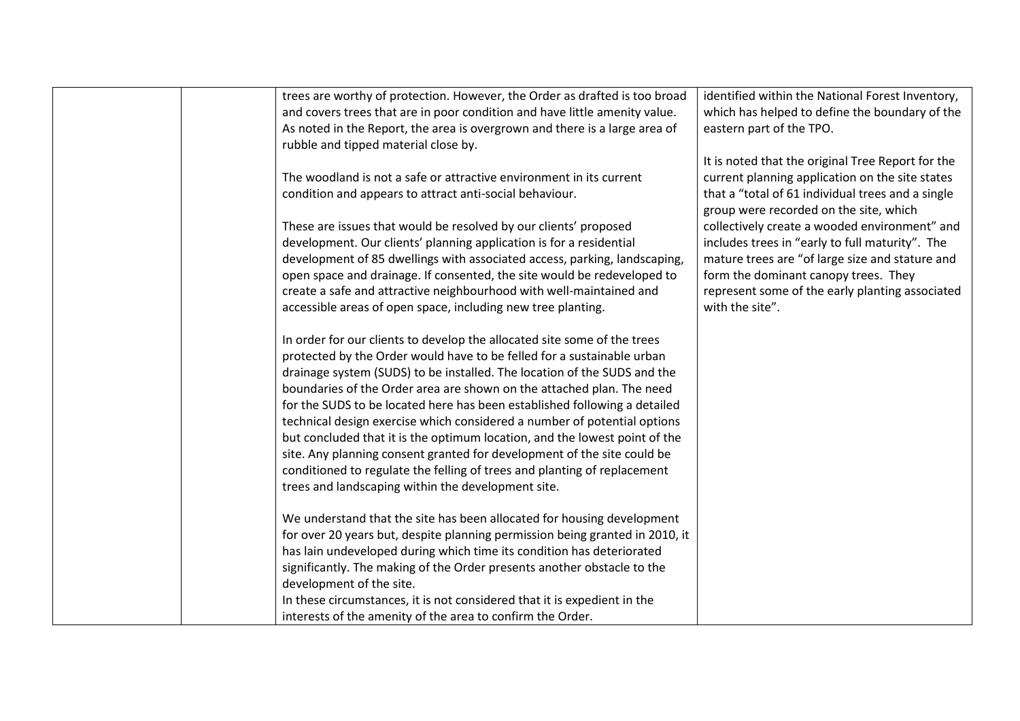| trees are worthy of protection. However, the Order as drafted is too broad   | identified within the National Forest Inventory,  |
|------------------------------------------------------------------------------|---------------------------------------------------|
| and covers trees that are in poor condition and have little amenity value.   | which has helped to define the boundary of the    |
| As noted in the Report, the area is overgrown and there is a large area of   | eastern part of the TPO.                          |
| rubble and tipped material close by.                                         |                                                   |
|                                                                              | It is noted that the original Tree Report for the |
| The woodland is not a safe or attractive environment in its current          | current planning application on the site states   |
| condition and appears to attract anti-social behaviour.                      | that a "total of 61 individual trees and a single |
|                                                                              | group were recorded on the site, which            |
| These are issues that would be resolved by our clients' proposed             | collectively create a wooded environment" and     |
| development. Our clients' planning application is for a residential          | includes trees in "early to full maturity". The   |
| development of 85 dwellings with associated access, parking, landscaping,    | mature trees are "of large size and stature and   |
| open space and drainage. If consented, the site would be redeveloped to      | form the dominant canopy trees. They              |
| create a safe and attractive neighbourhood with well-maintained and          | represent some of the early planting associated   |
| accessible areas of open space, including new tree planting.                 | with the site".                                   |
|                                                                              |                                                   |
| In order for our clients to develop the allocated site some of the trees     |                                                   |
| protected by the Order would have to be felled for a sustainable urban       |                                                   |
| drainage system (SUDS) to be installed. The location of the SUDS and the     |                                                   |
| boundaries of the Order area are shown on the attached plan. The need        |                                                   |
| for the SUDS to be located here has been established following a detailed    |                                                   |
| technical design exercise which considered a number of potential options     |                                                   |
| but concluded that it is the optimum location, and the lowest point of the   |                                                   |
| site. Any planning consent granted for development of the site could be      |                                                   |
| conditioned to regulate the felling of trees and planting of replacement     |                                                   |
| trees and landscaping within the development site.                           |                                                   |
|                                                                              |                                                   |
| We understand that the site has been allocated for housing development       |                                                   |
| for over 20 years but, despite planning permission being granted in 2010, it |                                                   |
| has lain undeveloped during which time its condition has deteriorated        |                                                   |
| significantly. The making of the Order presents another obstacle to the      |                                                   |
| development of the site.                                                     |                                                   |
| In these circumstances, it is not considered that it is expedient in the     |                                                   |
| interests of the amenity of the area to confirm the Order.                   |                                                   |